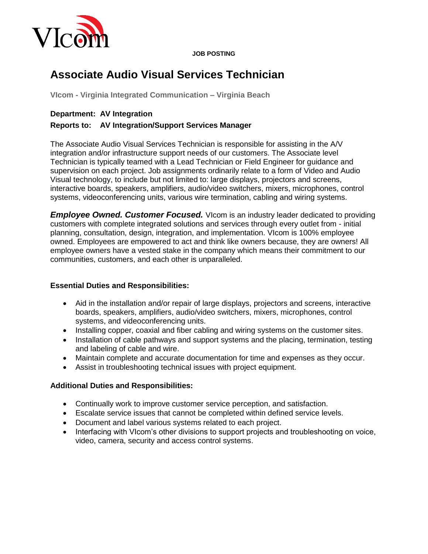

#### **JOB POSTING**

# **Associate Audio Visual Services Technician**

**VIcom - Virginia Integrated Communication – Virginia Beach**

## **Department: AV Integration**

## **Reports to: AV Integration/Support Services Manager**

The Associate Audio Visual Services Technician is responsible for assisting in the A/V integration and/or infrastructure support needs of our customers. The Associate level Technician is typically teamed with a Lead Technician or Field Engineer for guidance and supervision on each project. Job assignments ordinarily relate to a form of Video and Audio Visual technology, to include but not limited to: large displays, projectors and screens, interactive boards, speakers, amplifiers, audio/video switchers, mixers, microphones, control systems, videoconferencing units, various wire termination, cabling and wiring systems.

*Employee Owned. Customer Focused.* Vicom is an industry leader dedicated to providing customers with complete integrated solutions and services through every outlet from - initial planning, consultation, design, integration, and implementation. VIcom is 100% employee owned. Employees are empowered to act and think like owners because, they are owners! All employee owners have a vested stake in the company which means their commitment to our communities, customers, and each other is unparalleled.

#### **Essential Duties and Responsibilities:**

- Aid in the installation and/or repair of large displays, projectors and screens, interactive boards, speakers, amplifiers, audio/video switchers, mixers, microphones, control systems, and videoconferencing units.
- Installing copper, coaxial and fiber cabling and wiring systems on the customer sites.
- Installation of cable pathways and support systems and the placing, termination, testing and labeling of cable and wire.
- Maintain complete and accurate documentation for time and expenses as they occur.
- Assist in troubleshooting technical issues with project equipment.

# **Additional Duties and Responsibilities:**

- Continually work to improve customer service perception, and satisfaction.
- Escalate service issues that cannot be completed within defined service levels.
- Document and label various systems related to each project.
- Interfacing with VIcom's other divisions to support projects and troubleshooting on voice. video, camera, security and access control systems.